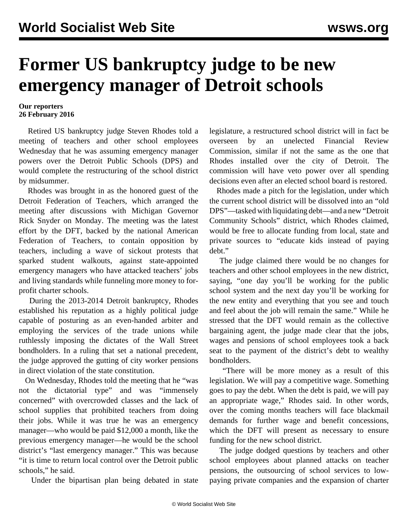## **Former US bankruptcy judge to be new emergency manager of Detroit schools**

## **Our reporters 26 February 2016**

 Retired US bankruptcy judge Steven Rhodes told a meeting of teachers and other school employees Wednesday that he was assuming emergency manager powers over the Detroit Public Schools (DPS) and would complete the restructuring of the school district by midsummer.

 Rhodes was brought in as the honored guest of the Detroit Federation of Teachers, which arranged the meeting after discussions with Michigan Governor Rick Snyder on Monday. The meeting was the latest effort by the DFT, backed by the national American Federation of Teachers, to contain opposition by teachers, including a wave of sickout protests that sparked student walkouts, against state-appointed emergency managers who have attacked teachers' jobs and living standards while funneling more money to forprofit charter schools.

 During the 2013-2014 Detroit bankruptcy, Rhodes established his reputation as a highly political judge capable of posturing as an even-handed arbiter and employing the services of the trade unions while ruthlessly imposing the dictates of the Wall Street bondholders. In a ruling that set a national precedent, the judge approved the gutting of city worker pensions in direct violation of the state constitution.

 On Wednesday, Rhodes told the meeting that he "was not the dictatorial type" and was "immensely concerned" with overcrowded classes and the lack of school supplies that prohibited teachers from doing their jobs. While it was true he was an emergency manager—who would be paid \$12,000 a month, like the previous emergency manager—he would be the school district's "last emergency manager." This was because "it is time to return local control over the Detroit public schools," he said.

Under the bipartisan plan being debated in state

legislature, a restructured school district will in fact be overseen by an unelected Financial Review Commission, similar if not the same as the one that Rhodes installed over the city of Detroit. The commission will have veto power over all spending decisions even after an elected school board is restored.

 Rhodes made a pitch for the legislation, under which the current school district will be dissolved into an "old DPS"—tasked with liquidating debt—and a new "Detroit Community Schools" district, which Rhodes claimed, would be free to allocate funding from local, state and private sources to "educate kids instead of paying debt."

 The judge claimed there would be no changes for teachers and other school employees in the new district, saying, "one day you'll be working for the public school system and the next day you'll be working for the new entity and everything that you see and touch and feel about the job will remain the same." While he stressed that the DFT would remain as the collective bargaining agent, the judge made clear that the jobs, wages and pensions of school employees took a back seat to the payment of the district's debt to wealthy bondholders.

 "There will be more money as a result of this legislation. We will pay a competitive wage. Something goes to pay the debt. When the debt is paid, we will pay an appropriate wage," Rhodes said. In other words, over the coming months teachers will face blackmail demands for further wage and benefit concessions, which the DFT will present as necessary to ensure funding for the new school district.

 The judge dodged questions by teachers and other school employees about planned attacks on teacher pensions, the outsourcing of school services to lowpaying private companies and the expansion of charter